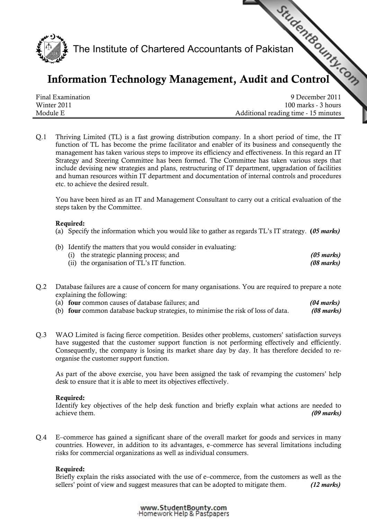

# Information Technology Management, [Audit and Control](http://www.studentbounty.com)

Final Examination 9 December 2011 Winter 2011 100 marks - 3 hours Module E **Additional reading time - 15 minutes** 

Q.1 Thriving Limited (TL) is a fast growing distribution company. In a short period of time, the IT function of TL has become the prime facilitator and enabler of its business and consequently the management has taken various steps to improve its efficiency and effectiveness. In this regard an IT Strategy and Steering Committee has been formed. The Committee has taken various steps that include devising new strategies and plans, restructuring of IT department, upgradation of facilities and human resources within IT department and documentation of internal controls and procedures etc. to achieve the desired result.

You have been hired as an IT and Management Consultant to carry out a critical evaluation of the steps taken by the Committee.

#### Required:

- (a) Specify the information which you would like to gather as regards TL's IT strategy.  $(05$  marks)
- (b) Identify the matters that you would consider in evaluating: (i) the strategic planning process; and (05 marks) (ii) the organisation of TL's IT function.  $(08 \text{ marks})$
- Q.2 Database failures are a cause of concern for many organisations. You are required to prepare a note explaining the following:
	- (a) **four** common causes of database failures; and (04 marks)
	- (b) four common database backup strategies, to minimise the risk of loss of data.  $(08 \text{ marks})$
- Q.3 WAO Limited is facing fierce competition. Besides other problems, customers' satisfaction surveys have suggested that the customer support function is not performing effectively and efficiently. Consequently, the company is losing its market share day by day. It has therefore decided to reorganise the customer support function.

As part of the above exercise, you have been assigned the task of revamping the customers' help desk to ensure that it is able to meet its objectives effectively.

## Required:

Identify key objectives of the help desk function and briefly explain what actions are needed to achieve them. (09 marks)  $(09 \text{ marks})$ 

Q.4 E–commerce has gained a significant share of the overall market for goods and services in many countries. However, in addition to its advantages, e–commerce has several limitations including risks for commercial organizations as well as individual consumers.

## Required:

Briefly explain the risks associated with the use of e–commerce, from the customers as well as the sellers' point of view and suggest measures that can be adopted to mitigate them. (12 marks)

> www.StudentBounty.com Homework Help & Pastpapers